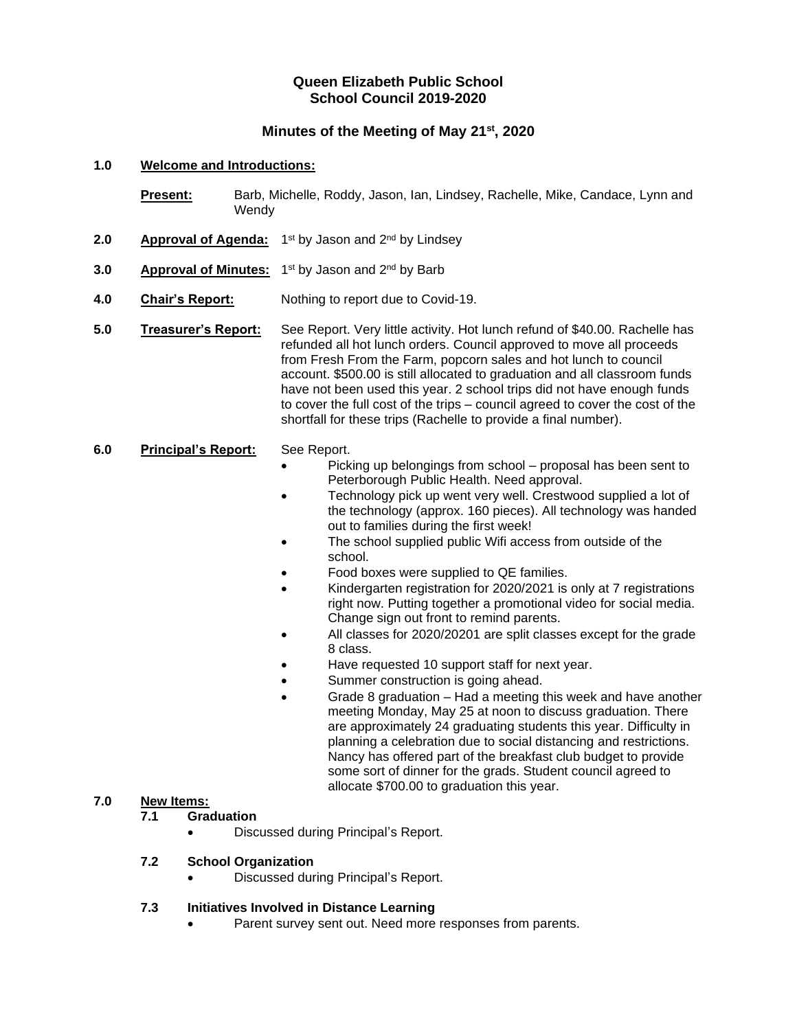## **Queen Elizabeth Public School School Council 2019-2020**

## **Minutes of the Meeting of May 21st, 2020**

#### **1.0 Welcome and Introductions:**

Present: Barb, Michelle, Roddy, Jason, Ian, Lindsey, Rachelle, Mike, Candace, Lynn and **Wendy** 

- 2.0 **Approval of Agenda:** 1<sup>st</sup> by Jason and 2<sup>nd</sup> by Lindsey
- **3.0** •• **Approval of Minutes:** 1<sup>st</sup> by Jason and 2<sup>nd</sup> by Barb
- **4.0 Chair's Report:** Nothing to report due to Covid-19.
- **5.0 Treasurer's Report:** See Report. Very little activity. Hot lunch refund of \$40.00. Rachelle has refunded all hot lunch orders. Council approved to move all proceeds from Fresh From the Farm, popcorn sales and hot lunch to council account. \$500.00 is still allocated to graduation and all classroom funds have not been used this year. 2 school trips did not have enough funds to cover the full cost of the trips – council agreed to cover the cost of the shortfall for these trips (Rachelle to provide a final number).

#### **6.0 Principal's Report:** See Report.

- Picking up belongings from school proposal has been sent to Peterborough Public Health. Need approval.
- Technology pick up went very well. Crestwood supplied a lot of the technology (approx. 160 pieces). All technology was handed out to families during the first week!
- The school supplied public Wifi access from outside of the school.
- Food boxes were supplied to QE families.
- Kindergarten registration for 2020/2021 is only at 7 registrations right now. Putting together a promotional video for social media. Change sign out front to remind parents.
- All classes for 2020/20201 are split classes except for the grade 8 class.
- Have requested 10 support staff for next year.
- Summer construction is going ahead.
	- Grade 8 graduation Had a meeting this week and have another meeting Monday, May 25 at noon to discuss graduation. There are approximately 24 graduating students this year. Difficulty in planning a celebration due to social distancing and restrictions. Nancy has offered part of the breakfast club budget to provide some sort of dinner for the grads. Student council agreed to allocate \$700.00 to graduation this year.

# **7.0 New Items:**

#### **7.1 Graduation**

• Discussed during Principal's Report.

#### **7.2 School Organization**

• Discussed during Principal's Report.

#### **7.3 Initiatives Involved in Distance Learning**

Parent survey sent out. Need more responses from parents.